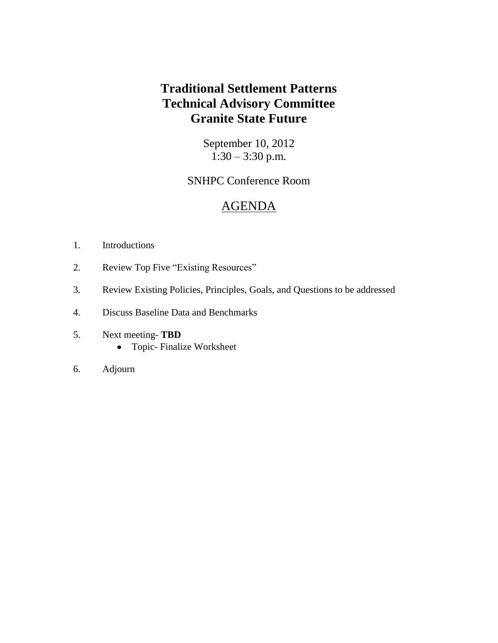# **Traditional Settlement Patterns Technical Advisory Committee Granite State Future**

September 10, 2012  $1:30 - 3:30$  p.m.

SNHPC Conference Room

# AGENDA

- 1. Introductions
- 2. Review Top Five "Existing Resources"
- 3. Review Existing Policies, Principles, Goals, and Questions to be addressed
- 4. Discuss Baseline Data and Benchmarks
- 5. Next meeting- **TBD** Topic- Finalize Worksheet
- 6. Adjourn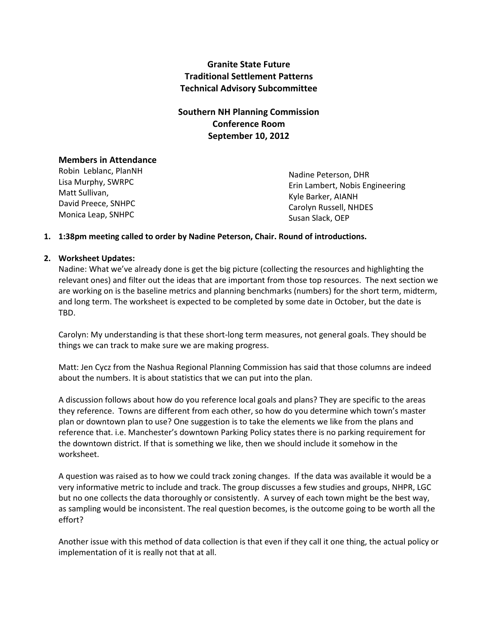## **Granite State Future Traditional Settlement Patterns Technical Advisory Subcommittee**

## **Southern NH Planning Commission Conference Room September 10, 2012**

#### **Members in Attendance**

Robin Leblanc, PlanNH Lisa Murphy, SWRPC Matt Sullivan, David Preece, SNHPC Monica Leap, SNHPC

Nadine Peterson, DHR Erin Lambert, Nobis Engineering Kyle Barker, AIANH Carolyn Russell, NHDES Susan Slack, OEP

### **1. 1:38pm meeting called to order by Nadine Peterson, Chair. Round of introductions.**

#### **2. Worksheet Updates:**

Nadine: What we've already done is get the big picture (collecting the resources and highlighting the relevant ones) and filter out the ideas that are important from those top resources. The next section we are working on is the baseline metrics and planning benchmarks (numbers) for the short term, midterm, and long term. The worksheet is expected to be completed by some date in October, but the date is TBD.

Carolyn: My understanding is that these short-long term measures, not general goals. They should be things we can track to make sure we are making progress.

Matt: Jen Cycz from the Nashua Regional Planning Commission has said that those columns are indeed about the numbers. It is about statistics that we can put into the plan.

A discussion follows about how do you reference local goals and plans? They are specific to the areas they reference. Towns are different from each other, so how do you determine which town's master plan or downtown plan to use? One suggestion is to take the elements we like from the plans and reference that. i.e. Manchester's downtown Parking Policy states there is no parking requirement for the downtown district. If that is something we like, then we should include it somehow in the worksheet.

A question was raised as to how we could track zoning changes. If the data was available it would be a very informative metric to include and track. The group discusses a few studies and groups, NHPR, LGC but no one collects the data thoroughly or consistently. A survey of each town might be the best way, as sampling would be inconsistent. The real question becomes, is the outcome going to be worth all the effort?

Another issue with this method of data collection is that even if they call it one thing, the actual policy or implementation of it is really not that at all.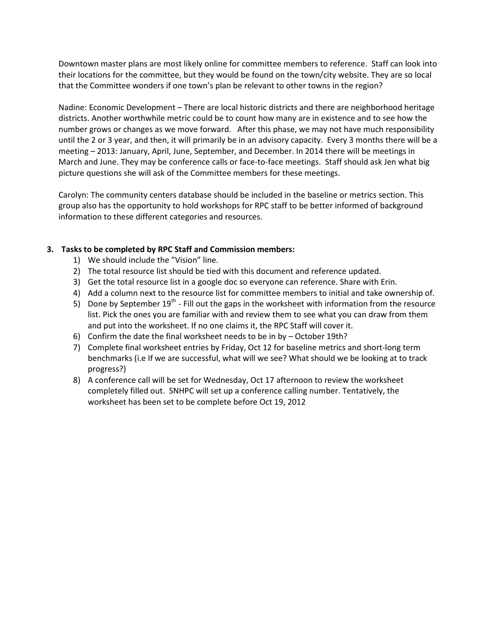Downtown master plans are most likely online for committee members to reference. Staff can look into their locations for the committee, but they would be found on the town/city website. They are so local that the Committee wonders if one town's plan be relevant to other towns in the region?

Nadine: Economic Development – There are local historic districts and there are neighborhood heritage districts. Another worthwhile metric could be to count how many are in existence and to see how the number grows or changes as we move forward. After this phase, we may not have much responsibility until the 2 or 3 year, and then, it will primarily be in an advisory capacity. Every 3 months there will be a meeting – 2013: January, April, June, September, and December. In 2014 there will be meetings in March and June. They may be conference calls or face-to-face meetings. Staff should ask Jen what big picture questions she will ask of the Committee members for these meetings.

Carolyn: The community centers database should be included in the baseline or metrics section. This group also has the opportunity to hold workshops for RPC staff to be better informed of background information to these different categories and resources.

### **3. Tasks to be completed by RPC Staff and Commission members:**

- 1) We should include the "Vision" line.
- 2) The total resource list should be tied with this document and reference updated.
- 3) Get the total resource list in a google doc so everyone can reference. Share with Erin.
- 4) Add a column next to the resource list for committee members to initial and take ownership of.
- 5) Done by September  $19^{th}$  Fill out the gaps in the worksheet with information from the resource list. Pick the ones you are familiar with and review them to see what you can draw from them and put into the worksheet. If no one claims it, the RPC Staff will cover it.
- 6) Confirm the date the final worksheet needs to be in by October 19th?
- 7) Complete final worksheet entries by Friday, Oct 12 for baseline metrics and short-long term benchmarks (i.e If we are successful, what will we see? What should we be looking at to track progress?)
- 8) A conference call will be set for Wednesday, Oct 17 afternoon to review the worksheet completely filled out. SNHPC will set up a conference calling number. Tentatively, the worksheet has been set to be complete before Oct 19, 2012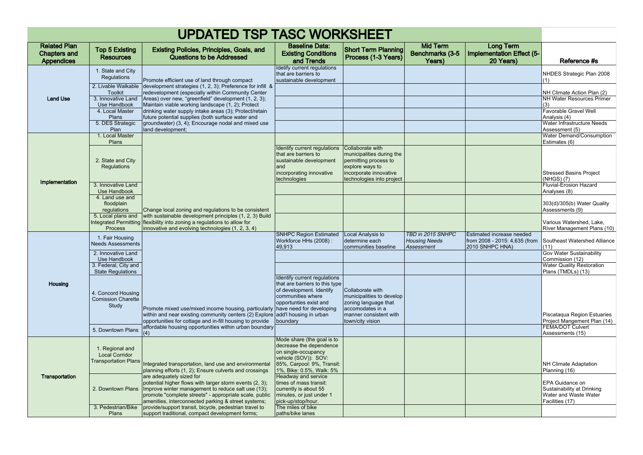| <b>UPDATED TSP TASC WORKSHEET</b>                               |                                                                                      |                                                                                                                                                                                                                                                                                                                                                                                                                                                                        |                                                                                                                                                                |                                                                                                                                                  |                                                         |                                                                               |                                                                                           |
|-----------------------------------------------------------------|--------------------------------------------------------------------------------------|------------------------------------------------------------------------------------------------------------------------------------------------------------------------------------------------------------------------------------------------------------------------------------------------------------------------------------------------------------------------------------------------------------------------------------------------------------------------|----------------------------------------------------------------------------------------------------------------------------------------------------------------|--------------------------------------------------------------------------------------------------------------------------------------------------|---------------------------------------------------------|-------------------------------------------------------------------------------|-------------------------------------------------------------------------------------------|
| <b>Related Plan</b><br><b>Chapters and</b><br><b>Appendices</b> | <b>Top 5 Existing</b><br><b>Resources</b>                                            | Existing Policies, Principles, Goals, and<br>Questions to be Addressed                                                                                                                                                                                                                                                                                                                                                                                                 | <b>Baseline Data:</b><br><b>Existing Conditions</b><br>and Trends                                                                                              | <b>Short Term Planning</b><br>Process (1-3 Years)                                                                                                | <b>Mid Term</b><br>Benchmarks (3-5<br>Years)            | Long Term<br><b>Implementation Effect (5-</b><br>20 Years)                    | Reference #s                                                                              |
| <b>Land Use</b>                                                 | 1. State and City<br>Regulations                                                     | Promote efficient use of land through compact<br>development strategies (1, 2, 3); Preference for infill &<br>redevelopment (especially within Community Center<br>Areas) over new, "greenfield" development (1, 2, 3);<br>Maintain viable working landscape (1, 2); Protect<br>drinking water supply intake areas (3); Protect/retain<br>future potential supplies (both surface water and<br>groundwater) (3, 4); Encourage nodal and mixed use<br>land development; | Idetify current regulations<br>that are barriers to<br>sustainable development                                                                                 |                                                                                                                                                  |                                                         |                                                                               | NHDES Strategic Plan 2008<br>(1)                                                          |
|                                                                 | 2. Livable Walkable<br><b>Toolkit</b><br>3. Innovative Land                          |                                                                                                                                                                                                                                                                                                                                                                                                                                                                        |                                                                                                                                                                |                                                                                                                                                  |                                                         |                                                                               | NH Climate Action Plan (2)<br><b>NH Water Resources Primer</b>                            |
|                                                                 | Use Handbook<br>4. Local Master                                                      |                                                                                                                                                                                                                                                                                                                                                                                                                                                                        |                                                                                                                                                                |                                                                                                                                                  |                                                         |                                                                               | (3)<br><b>Favorable Gravel Well</b>                                                       |
|                                                                 | Plans<br>5. DES Strategic<br>Plan                                                    |                                                                                                                                                                                                                                                                                                                                                                                                                                                                        |                                                                                                                                                                |                                                                                                                                                  |                                                         |                                                                               | Analysis (4)<br>Water Infrastructure Needs<br>Assessment (5)                              |
|                                                                 | 1. Local Master<br>Plans                                                             |                                                                                                                                                                                                                                                                                                                                                                                                                                                                        |                                                                                                                                                                |                                                                                                                                                  | <b>Water Demand/Consumption</b><br>Estimates (6)        |                                                                               |                                                                                           |
|                                                                 | 2. State and City<br>Regulations                                                     |                                                                                                                                                                                                                                                                                                                                                                                                                                                                        | Identify current regulations<br>that are barriers to<br>sustainable development<br>and<br>incorporating innovative<br>technologies                             | Collaborate with<br>municipalities during the<br>permitting process to<br>explore ways to<br>incorporate innovative<br>technologies into project |                                                         |                                                                               | <b>Stressed Basins Project</b><br>(NHGS) (7)                                              |
| Implementation                                                  | 3. Innovative Land<br>Use Handbook                                                   |                                                                                                                                                                                                                                                                                                                                                                                                                                                                        |                                                                                                                                                                |                                                                                                                                                  |                                                         |                                                                               | <b>Fluvial-Erosion Hazard</b><br>Analyses (8)                                             |
|                                                                 | 4. Land use and<br>floodplain<br>regulations                                         | Change local zoning and regulations to be consistent                                                                                                                                                                                                                                                                                                                                                                                                                   |                                                                                                                                                                |                                                                                                                                                  |                                                         |                                                                               | 303(d)/305(b) Water Quality<br>Assessments (9)                                            |
|                                                                 | 5. Local plans and<br>Process                                                        | with sustainable development principles (1, 2, 3) Build<br>Integrated Permitting flexibility into zoning a regulations to allow for<br>innovative and evolving technologies (1, 2, 3, 4)                                                                                                                                                                                                                                                                               |                                                                                                                                                                |                                                                                                                                                  |                                                         |                                                                               | Various Watershed, Lake,<br>River Management Plans (10)                                   |
|                                                                 | 1. Fair Housing<br><b>Needs Assessments</b>                                          |                                                                                                                                                                                                                                                                                                                                                                                                                                                                        | <b>SNHPC Region Estimated</b><br>Workforce HHs (2008):<br>49,913                                                                                               | <b>Local Analysis to</b><br>determine each<br>communities baseline                                                                               | TBD in 2015 SNHPC<br><b>Housing Needs</b><br>Assessment | Estimated increase needed<br>from 2008 - 2015: 4,635 (from<br>2010 SNHPC HNA) | Southeast Watershed Alliance<br>(11)                                                      |
|                                                                 | 2. Innovative Land<br>Use Handbook<br>3. Federal, City and                           |                                                                                                                                                                                                                                                                                                                                                                                                                                                                        |                                                                                                                                                                |                                                                                                                                                  |                                                         |                                                                               | <b>Gov Water Sustainability</b><br>Commission (12)<br><b>Water Quality Restoration</b>    |
| Housing                                                         | <b>State Regulations</b><br>4. Concord Housing<br><b>Comission Charette</b><br>Study | Promote mixed use/mixed income housing, particularly have need for developing<br>within and near existing community centers (2) Explore add'l housing in urban<br>opportunities for cottage and in-fill housing to provide                                                                                                                                                                                                                                             | Identify current regulations<br>that are barriers to this type<br>of development. Identify<br>communities where<br>opportunties exist and<br>boundary          | Collaborate with<br>municipalities to develop<br>zoning language that<br>accomodates in a<br>manner consistent with<br>town/city vision          |                                                         |                                                                               | Plans (TMDLs) (13)<br>Piscataqua Region Estuaries<br>Project Mangement Plan (14)          |
|                                                                 | 5. Downtown Plans                                                                    | affordable housing opportunities within urban boundary                                                                                                                                                                                                                                                                                                                                                                                                                 |                                                                                                                                                                |                                                                                                                                                  |                                                         |                                                                               | FEMA/DOT Culvert<br>Assessments (15)                                                      |
| Transportation                                                  | 1. Regional and<br><b>Local Corridor</b><br><b>Transportation Plans</b>              | Integrated transportation, land use and environmental<br>planning efforts (1, 2); Ensure culverts and crossings<br>are adequately sized for<br>potential higher flows with larger storm events (2, 3);<br>Improve winter management to reduce salt use (13);<br>promote "complete streets" - appropriate scale, public<br>amenities, interconnected parking & street systems;                                                                                          | Mode share (the goal is to<br>decrease the dependence<br>on single-occupancy<br>vehicle (SOV)): SOV:<br>85%, Carpool: 9%, Transit:<br>1%, Bike: 0.5%, Walk: 5% |                                                                                                                                                  |                                                         |                                                                               | NH Climate Adaptation<br>Planning (16)                                                    |
|                                                                 | 2. Downtown Plans                                                                    |                                                                                                                                                                                                                                                                                                                                                                                                                                                                        | Headway and service<br>times of mass transit:<br>currently is about 55<br>minutes, or just under 1<br>pick-up/stop/hour.                                       |                                                                                                                                                  |                                                         |                                                                               | EPA Guidance on<br>Sustainability at Drinking<br>Water and Waste Water<br>Facilities (17) |
|                                                                 | 3. Pedestrian/Bike<br>Plans                                                          | provide/support transit, bicycle, pedestrian travel to<br>support traditional, compact development forms;                                                                                                                                                                                                                                                                                                                                                              | The miles of bike<br>paths/bike lanes                                                                                                                          |                                                                                                                                                  |                                                         |                                                                               |                                                                                           |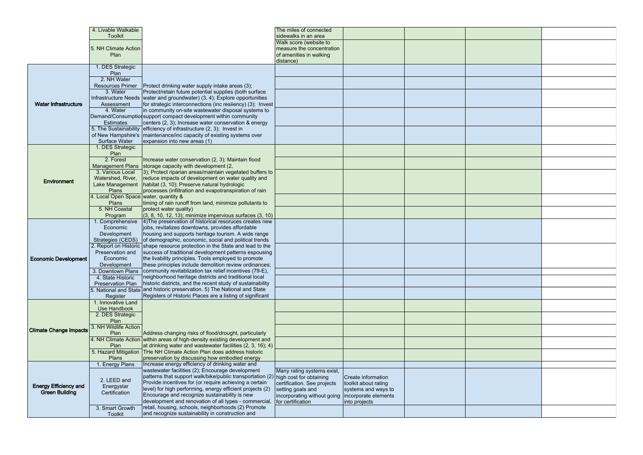|                               | 4. Livable Walkable                        |                                                                                                                                                | The miles of connected                               |                                       |  |  |
|-------------------------------|--------------------------------------------|------------------------------------------------------------------------------------------------------------------------------------------------|------------------------------------------------------|---------------------------------------|--|--|
|                               | <b>Toolkit</b>                             |                                                                                                                                                | sidewalks in an area                                 |                                       |  |  |
|                               |                                            |                                                                                                                                                | Walk score (website to                               |                                       |  |  |
|                               | 5. NH Climate Action<br>Plan               |                                                                                                                                                | measure the concentration<br>of amenities in walking |                                       |  |  |
|                               |                                            |                                                                                                                                                | distance)                                            |                                       |  |  |
|                               | 1. DES Strategic                           |                                                                                                                                                |                                                      |                                       |  |  |
|                               | Plan                                       |                                                                                                                                                |                                                      |                                       |  |  |
|                               | 2. NH Water                                |                                                                                                                                                |                                                      |                                       |  |  |
|                               | Resources Primer<br>3. Water               | Protect drinking water supply intake areas (3);                                                                                                |                                                      |                                       |  |  |
|                               |                                            | Protect/retain future potential supplies (both surface<br>Infrastructure Needs water and groundwater) (3, 4); Explore opportunities            |                                                      |                                       |  |  |
| <b>Water Infrastructure</b>   | Assessment                                 | for strategic interconnections (inc resilency) (3); Invest                                                                                     |                                                      |                                       |  |  |
|                               | 4. Water                                   | in community on-site wastewater disposal systems to                                                                                            |                                                      |                                       |  |  |
|                               |                                            | Demand/Consumption support compact development within community                                                                                |                                                      |                                       |  |  |
|                               | <b>Estimates</b>                           | centers (2, 3); Increase water conservation & energy                                                                                           |                                                      |                                       |  |  |
|                               |                                            | 5. The Sustainability efficiency of infrastructure (2, 3); Invest in<br>of New Hampshire's   maintenance/inc capacity of existing systems over |                                                      |                                       |  |  |
|                               | Surface Water                              | expansion into new areas (1)                                                                                                                   |                                                      |                                       |  |  |
|                               | 1. DES Strategic                           |                                                                                                                                                |                                                      |                                       |  |  |
|                               | Plan                                       |                                                                                                                                                |                                                      |                                       |  |  |
|                               | 2. Forest                                  | Increase water conservation (2, 3); Maintain flood                                                                                             |                                                      |                                       |  |  |
|                               |                                            | Management Plans Storage capacity with development (2,                                                                                         |                                                      |                                       |  |  |
|                               | 3. Various Local<br>Watershed, River,      | 3); Protect riparian areas/maintain vegetated buffers to<br>reduce impacts of development on water quality and                                 |                                                      |                                       |  |  |
| Environment                   | Lake Management                            | habitat (3, 10); Preserve natural hydrologic                                                                                                   |                                                      |                                       |  |  |
|                               | Plans                                      | processes (infiltration and evapotranspiration of rain                                                                                         |                                                      |                                       |  |  |
|                               | 4. Local Open Space water, quantity &      |                                                                                                                                                |                                                      |                                       |  |  |
|                               | Plans                                      | timing of rain runoff from land, minimize pollutants to                                                                                        |                                                      |                                       |  |  |
|                               | 5. NH Coastal                              | protect water quality)                                                                                                                         |                                                      |                                       |  |  |
|                               | Program<br>1. Comprehensive                | $(3, 8, 10, 12, 13)$ ; minimize impervious surfaces $(3, 10)$<br>4) The preservation of historical resoruces creates new                       |                                                      |                                       |  |  |
|                               | Economic                                   | jobs, revitalizes downtowns, provides affordable                                                                                               |                                                      |                                       |  |  |
|                               | Development                                | housing and supports heritage tourism. A wide range                                                                                            |                                                      |                                       |  |  |
|                               | Strategies (CEDS)                          | of demographic, economic, social and political trends                                                                                          |                                                      |                                       |  |  |
|                               | Preservation and                           | 2. Report on Historic Shape resource protection in the State and lead to the<br>success of traditional development patterns espousing          |                                                      |                                       |  |  |
| <b>Economic Development</b>   | Economic                                   | the livability principles. Tools employed to promote                                                                                           |                                                      |                                       |  |  |
|                               | Development                                | these principles include demolition review ordinances;                                                                                         |                                                      |                                       |  |  |
|                               | 3. Downtown Plans                          | community revitablization tax relief incentives (79-E),                                                                                        |                                                      |                                       |  |  |
|                               | 4. State Historic                          | neighborhood heritage districts and traditional local                                                                                          |                                                      |                                       |  |  |
|                               | <b>Preservation Plan</b>                   | historic districts, and the recent study of sustainability<br>5. National and State and historic preservation. 5) The National and State       |                                                      |                                       |  |  |
|                               | Register                                   | Registers of Historic Places are a listing of significant                                                                                      |                                                      |                                       |  |  |
|                               | 1. Innovative Land                         |                                                                                                                                                |                                                      |                                       |  |  |
|                               | Use Handbook                               |                                                                                                                                                |                                                      |                                       |  |  |
|                               | 2. DES Strategic<br>Plan                   |                                                                                                                                                |                                                      |                                       |  |  |
|                               | 3. NH Wildlife Action                      |                                                                                                                                                |                                                      |                                       |  |  |
| <b>Climate Change Impacts</b> | Plan                                       | Address changing risks of flood/drought, particularly                                                                                          |                                                      |                                       |  |  |
|                               |                                            | 4. NH Climate Action within areas of high-density existing development and                                                                     |                                                      |                                       |  |  |
|                               | Plan                                       | at drinking water and wastewater facilities (2, 3, 16); 4)                                                                                     |                                                      |                                       |  |  |
|                               | 5. Hazard Mitigation<br>Plans              | THe NH Climate Action Plan does address historic<br>preservation by discussing how embodied energy                                             |                                                      |                                       |  |  |
|                               | 1. Energy Plans                            | Increase energy efficiency of drinking water and                                                                                               |                                                      |                                       |  |  |
|                               |                                            | wastewater facilities (2); Encourage development                                                                                               | Many rating systems exist,                           |                                       |  |  |
|                               | 2. LEED and<br>Energystar<br>Certification | patterns that support walk/bike/public transportation (2) high cost for obtaining                                                              |                                                      | Create information                    |  |  |
| <b>Energy Efficiency and</b>  |                                            | Provide incentives for (or require achieving a certain                                                                                         | certification. See projects                          | toolkit about rating                  |  |  |
| <b>Green Building</b>         |                                            | level) for high performing, energy efficient projects (2)<br>Encourage and recognize sustainability is new                                     | setting goals and                                    | systems and ways to                   |  |  |
|                               |                                            | development and renovation of all types - commercial                                                                                           | incorporating without going<br>for certification     | incorporate elements<br>into projects |  |  |
|                               | 3. Smart Growth                            | retail, housing, schools, neighborhoods (2) Promote                                                                                            |                                                      |                                       |  |  |
|                               | <b>Toolkit</b>                             | and recognize sustainability in construction and                                                                                               |                                                      |                                       |  |  |